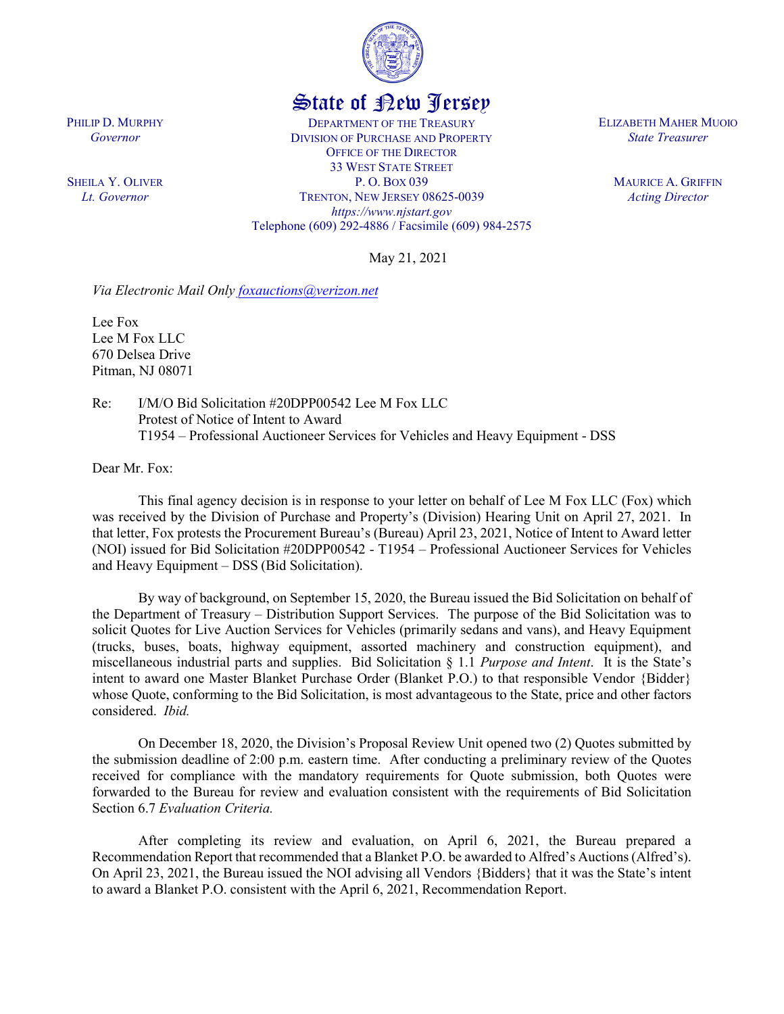

## State of New Jersey

DEPARTMENT OF THE TREASURY DIVISION OF PURCHASE AND PROPERTY OFFICE OF THE DIRECTOR 33 WEST STATE STREET P. O. BOX 039 TRENTON, NEW JERSEY 08625-0039 *https://www.njstart.gov* Telephone (609) 292-4886 / Facsimile (609) 984-2575 ELIZABETH MAHER MUOIO *State Treasurer*

> MAURICE A. GRIFFIN *Acting Director*

May 21, 2021

*Via Electronic Mail Only [foxauctions@verizon.net](mailto:foxauctions@verizon.net)*

Lee Fox Lee M Fox LLC 670 Delsea Drive Pitman, NJ 08071

Re: I/M/O Bid Solicitation #20DPP00542 Lee M Fox LLC Protest of Notice of Intent to Award T1954 – Professional Auctioneer Services for Vehicles and Heavy Equipment - DSS

Dear Mr. Fox:

This final agency decision is in response to your letter on behalf of Lee M Fox LLC (Fox) which was received by the Division of Purchase and Property's (Division) Hearing Unit on April 27, 2021. In that letter, Fox protests the Procurement Bureau's (Bureau) April 23, 2021, Notice of Intent to Award letter (NOI) issued for Bid Solicitation #20DPP00542 - T1954 – Professional Auctioneer Services for Vehicles and Heavy Equipment – DSS (Bid Solicitation).

By way of background, on September 15, 2020, the Bureau issued the Bid Solicitation on behalf of the Department of Treasury – Distribution Support Services. The purpose of the Bid Solicitation was to solicit Quotes for Live Auction Services for Vehicles (primarily sedans and vans), and Heavy Equipment (trucks, buses, boats, highway equipment, assorted machinery and construction equipment), and miscellaneous industrial parts and supplies. Bid Solicitation § 1.1 *Purpose and Intent*. It is the State's intent to award one Master Blanket Purchase Order (Blanket P.O.) to that responsible Vendor {Bidder} whose Quote, conforming to the Bid Solicitation, is most advantageous to the State, price and other factors considered. *Ibid.*

On December 18, 2020, the Division's Proposal Review Unit opened two (2) Quotes submitted by the submission deadline of 2:00 p.m. eastern time. After conducting a preliminary review of the Quotes received for compliance with the mandatory requirements for Quote submission, both Quotes were forwarded to the Bureau for review and evaluation consistent with the requirements of Bid Solicitation Section 6.7 *Evaluation Criteria.*

After completing its review and evaluation, on April 6, 2021, the Bureau prepared a Recommendation Report that recommended that a Blanket P.O. be awarded to Alfred's Auctions (Alfred's). On April 23, 2021, the Bureau issued the NOI advising all Vendors {Bidders} that it was the State's intent to award a Blanket P.O. consistent with the April 6, 2021, Recommendation Report.

PHILIP D. MURPHY *Governor*

SHEILA Y. OLIVER *Lt. Governor*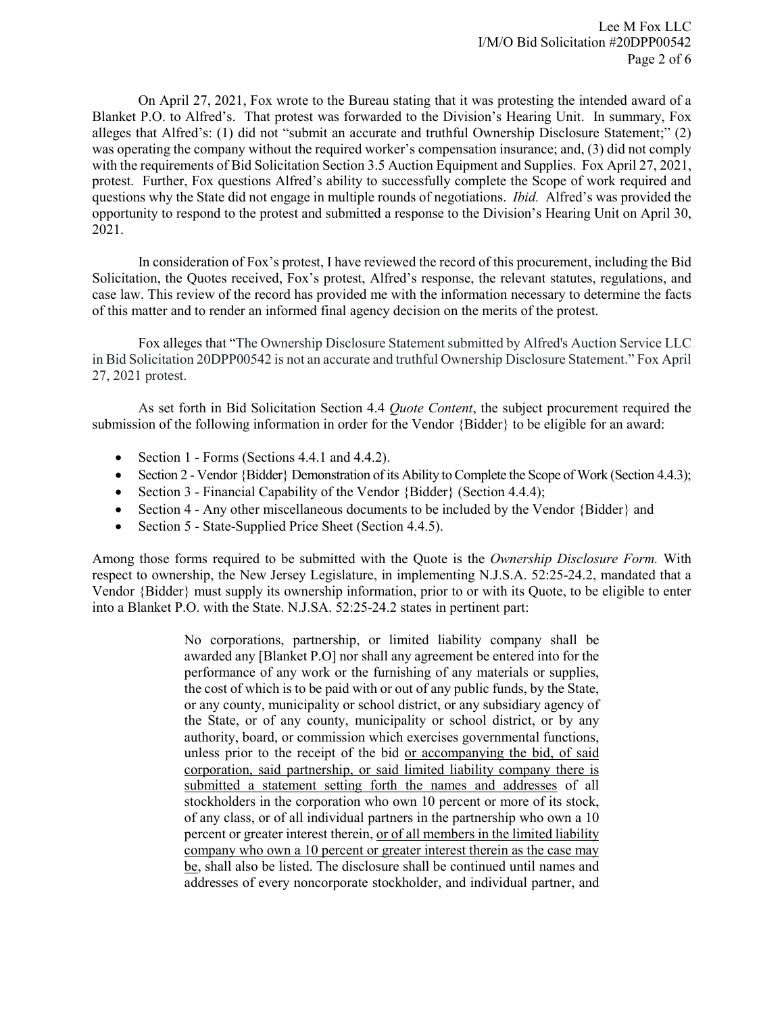On April 27, 2021, Fox wrote to the Bureau stating that it was protesting the intended award of a Blanket P.O. to Alfred's. That protest was forwarded to the Division's Hearing Unit. In summary, Fox alleges that Alfred's: (1) did not "submit an accurate and truthful Ownership Disclosure Statement;" (2) was operating the company without the required worker's compensation insurance; and, (3) did not comply with the requirements of Bid Solicitation Section 3.5 Auction Equipment and Supplies. Fox April 27, 2021, protest. Further, Fox questions Alfred's ability to successfully complete the Scope of work required and questions why the State did not engage in multiple rounds of negotiations. *Ibid.* Alfred's was provided the opportunity to respond to the protest and submitted a response to the Division's Hearing Unit on April 30, 2021.

In consideration of Fox's protest, I have reviewed the record of this procurement, including the Bid Solicitation, the Quotes received, Fox's protest, Alfred's response, the relevant statutes, regulations, and case law. This review of the record has provided me with the information necessary to determine the facts of this matter and to render an informed final agency decision on the merits of the protest.

Fox alleges that "The Ownership Disclosure Statement submitted by Alfred's Auction Service LLC in Bid Solicitation 20DPP00542 is not an accurate and truthful Ownership Disclosure Statement." Fox April 27, 2021 protest.

As set forth in Bid Solicitation Section 4.4 *Quote Content*, the subject procurement required the submission of the following information in order for the Vendor {Bidder} to be eligible for an award:

- Section 1 Forms (Sections 4.4.1 and 4.4.2).
- Section 2 Vendor {Bidder} Demonstration of its Ability to Complete the Scope of Work (Section 4.4.3);
- Section 3 Financial Capability of the Vendor {Bidder} (Section 4.4.4);
- Section 4 Any other miscellaneous documents to be included by the Vendor {Bidder} and
- Section 5 State-Supplied Price Sheet (Section 4.4.5).

Among those forms required to be submitted with the Quote is the *Ownership Disclosure Form.* With respect to ownership, the New Jersey Legislature, in implementing N.J.S.A. 52:25-24.2, mandated that a Vendor {Bidder} must supply its ownership information, prior to or with its Quote, to be eligible to enter into a Blanket P.O. with the State. N.J.SA. 52:25-24.2 states in pertinent part:

> No corporations, partnership, or limited liability company shall be awarded any [Blanket P.O] nor shall any agreement be entered into for the performance of any work or the furnishing of any materials or supplies, the cost of which is to be paid with or out of any public funds, by the State, or any county, municipality or school district, or any subsidiary agency of the State, or of any county, municipality or school district, or by any authority, board, or commission which exercises governmental functions, unless prior to the receipt of the bid or accompanying the bid, of said corporation, said partnership, or said limited liability company there is submitted a statement setting forth the names and addresses of all stockholders in the corporation who own 10 percent or more of its stock, of any class, or of all individual partners in the partnership who own a 10 percent or greater interest therein, or of all members in the limited liability company who own a 10 percent or greater interest therein as the case may be, shall also be listed. The disclosure shall be continued until names and addresses of every noncorporate stockholder, and individual partner, and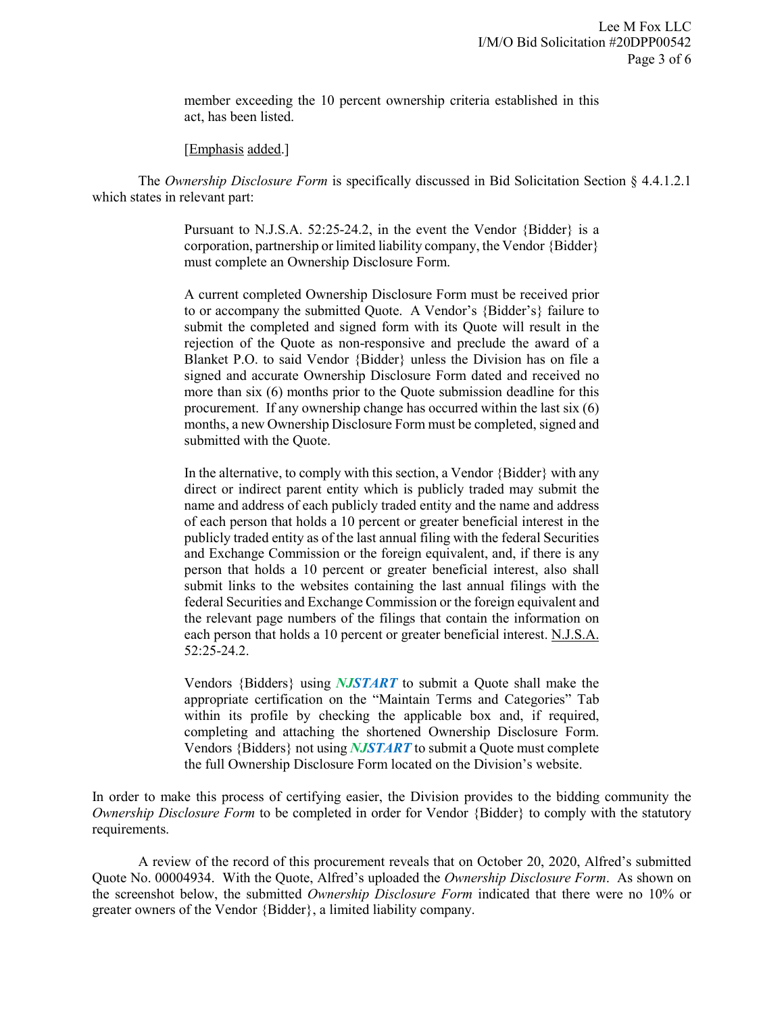member exceeding the 10 percent ownership criteria established in this act, has been listed.

[*Emphasis added.*]

The *Ownership Disclosure Form* is specifically discussed in Bid Solicitation Section § 4.4.1.2.1 which states in relevant part:

> Pursuant to N.J.S.A. 52:25-24.2, in the event the Vendor {Bidder} is a corporation, partnership or limited liability company, the Vendor {Bidder} must complete an Ownership Disclosure Form.

> A current completed Ownership Disclosure Form must be received prior to or accompany the submitted Quote. A Vendor's {Bidder's} failure to submit the completed and signed form with its Quote will result in the rejection of the Quote as non-responsive and preclude the award of a Blanket P.O. to said Vendor {Bidder} unless the Division has on file a signed and accurate Ownership Disclosure Form dated and received no more than six (6) months prior to the Quote submission deadline for this procurement. If any ownership change has occurred within the last six (6) months, a new Ownership Disclosure Form must be completed, signed and submitted with the Quote.

> In the alternative, to comply with this section, a Vendor {Bidder} with any direct or indirect parent entity which is publicly traded may submit the name and address of each publicly traded entity and the name and address of each person that holds a 10 percent or greater beneficial interest in the publicly traded entity as of the last annual filing with the federal Securities and Exchange Commission or the foreign equivalent, and, if there is any person that holds a 10 percent or greater beneficial interest, also shall submit links to the websites containing the last annual filings with the federal Securities and Exchange Commission or the foreign equivalent and the relevant page numbers of the filings that contain the information on each person that holds a 10 percent or greater beneficial interest. N.J.S.A. 52:25-24.2.

> Vendors {Bidders} using *NJSTART* to submit a Quote shall make the appropriate certification on the "Maintain Terms and Categories" Tab within its profile by checking the applicable box and, if required, completing and attaching the shortened Ownership Disclosure Form. Vendors {Bidders} not using *NJSTART* to submit a Quote must complete the full Ownership Disclosure Form located on the Division's website.

In order to make this process of certifying easier, the Division provides to the bidding community the *Ownership Disclosure Form* to be completed in order for Vendor {Bidder} to comply with the statutory requirements.

A review of the record of this procurement reveals that on October 20, 2020, Alfred's submitted Quote No. 00004934. With the Quote, Alfred's uploaded the *Ownership Disclosure Form*. As shown on the screenshot below, the submitted *Ownership Disclosure Form* indicated that there were no 10% or greater owners of the Vendor {Bidder}, a limited liability company.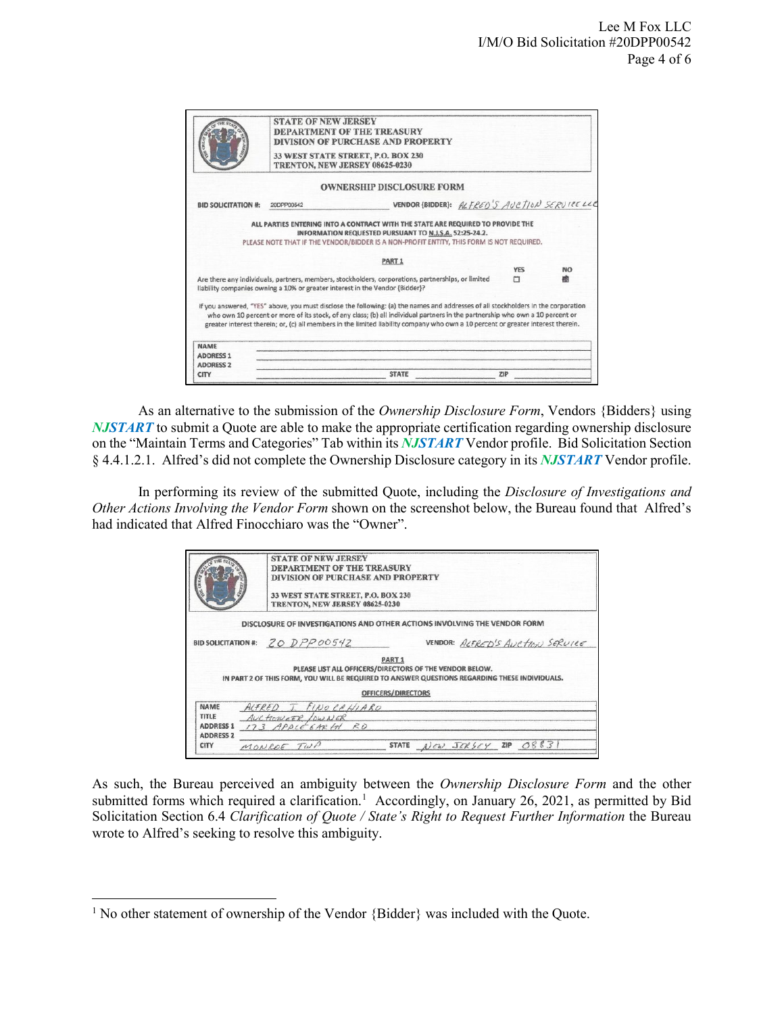|                                                     | <b>STATE OF NEW JERSEY</b> | <b>DEPARTMENT OF THE TREASURY</b><br><b>DIVISION OF PURCHASE AND PROPERTY</b><br>33 WEST STATE STREET, P.O. BOX 230<br>TRENTON, NEW JERSEY 08625-0230                                                                                                                                                                                                                                                  |            |           |
|-----------------------------------------------------|----------------------------|--------------------------------------------------------------------------------------------------------------------------------------------------------------------------------------------------------------------------------------------------------------------------------------------------------------------------------------------------------------------------------------------------------|------------|-----------|
|                                                     |                            | <b>OWNERSHIP DISCLOSURE FORM</b>                                                                                                                                                                                                                                                                                                                                                                       |            |           |
| <b>BID SOLICITATION #:</b>                          | 20DPP00542                 | VENDOR (BIDDER): ALFRED'S AUCTION SERVICELLE                                                                                                                                                                                                                                                                                                                                                           |            |           |
|                                                     |                            | PART <sub>1</sub>                                                                                                                                                                                                                                                                                                                                                                                      |            |           |
|                                                     |                            |                                                                                                                                                                                                                                                                                                                                                                                                        | <b>YES</b> | <b>NO</b> |
|                                                     |                            | Are there any individuals, partners, members, stockholders, corporations, partnerships, or limited<br>liability companies owning a 10% or greater interest in the Vendor {Bidder}?                                                                                                                                                                                                                     | т          | 杰         |
|                                                     |                            |                                                                                                                                                                                                                                                                                                                                                                                                        |            |           |
|                                                     |                            | If you answered, "YES" above, you must disclose the following: (a) the names and addresses of all stockholders in the corporation<br>who own 10 percent or more of its stock, of any class; (b) all individual partners in the partnership who own a 10 percent or<br>greater interest therein; or, (c) all members in the limited liability company who own a 10 percent or greater interest therein. |            |           |
| <b>NAME</b>                                         |                            |                                                                                                                                                                                                                                                                                                                                                                                                        |            |           |
|                                                     |                            |                                                                                                                                                                                                                                                                                                                                                                                                        |            |           |
| <b>ADDRESS 1</b><br><b>ADDRESS 2</b><br><b>CITY</b> |                            | <b>STATE</b>                                                                                                                                                                                                                                                                                                                                                                                           | ZiP        |           |

As an alternative to the submission of the *Ownership Disclosure Form*, Vendors {Bidders} using *NJSTART* to submit a Quote are able to make the appropriate certification regarding ownership disclosure on the "Maintain Terms and Categories" Tab within its *NJSTART* Vendor profile. Bid Solicitation Section § 4.4.1.2.1. Alfred's did not complete the Ownership Disclosure category in its *NJSTART* Vendor profile.

In performing its review of the submitted Quote, including the *Disclosure of Investigations and Other Actions Involving the Vendor Form* shown on the screenshot below, the Bureau found that Alfred's had indicated that Alfred Finocchiaro was the "Owner".

|                                                              | <b>STATE OF NEW JERSEY</b><br>DEPARTMENT OF THE TREASURY<br><b>DIVISION OF PURCHASE AND PROPERTY</b><br>33 WEST STATE STREET, P.O. BOX 230<br>TRENTON, NEW JERSEY 08625-0230 |                                         |                                |                                  |
|--------------------------------------------------------------|------------------------------------------------------------------------------------------------------------------------------------------------------------------------------|-----------------------------------------|--------------------------------|----------------------------------|
|                                                              | DISCLOSURE OF INVESTIGATIONS AND OTHER ACTIONS INVOLVING THE VENDOR FORM                                                                                                     |                                         |                                |                                  |
| <b>BID SOLICITATION #:</b>                                   | 20DPPO0542                                                                                                                                                                   |                                         |                                | VENDOR: ALTRED'S AUCTION SERVICE |
|                                                              | PLEASE LIST ALL OFFICERS/DIRECTORS OF THE VENDOR BELOW.<br>IN PART 2 OF THIS FORM, YOU WILL BE REQUIRED TO ANSWER QUESTIONS REGARDING THESE INDIVIDUALS.                     | PART <sub>1</sub><br>OFFICERS/DIRECTORS |                                |                                  |
| NAME<br><b>TITLE</b><br><b>ADDRESS 1</b><br><b>ADDRESS 2</b> | ALFRED I FINOCEHIARO<br>AUCTION EDR LOWNER<br>173 APPLE 6ARTH RD                                                                                                             |                                         |                                |                                  |
| <b>CITY</b>                                                  | MONROE TWP                                                                                                                                                                   | <b>STATE</b>                            | $New$ $JCK$ $5cy$ $ZIP$ $OS83$ |                                  |

As such, the Bureau perceived an ambiguity between the *Ownership Disclosure Form* and the other submitted forms which required a clarification.<sup>[1](#page-3-0)</sup> Accordingly, on January 26, 2021, as permitted by Bid Solicitation Section 6.4 *Clarification of Quote / State's Right to Request Further Information* the Bureau wrote to Alfred's seeking to resolve this ambiguity.

l

<span id="page-3-0"></span><sup>&</sup>lt;sup>1</sup> No other statement of ownership of the Vendor {Bidder} was included with the Quote.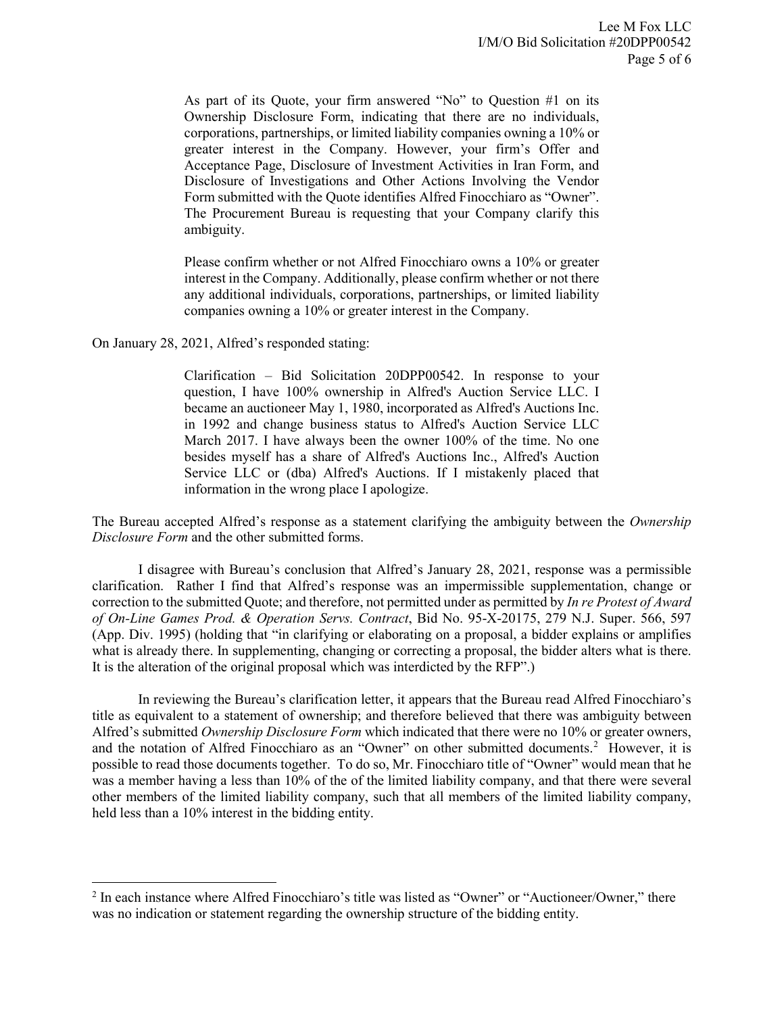As part of its Quote, your firm answered "No" to Question #1 on its Ownership Disclosure Form, indicating that there are no individuals, corporations, partnerships, or limited liability companies owning a 10% or greater interest in the Company. However, your firm's Offer and Acceptance Page, Disclosure of Investment Activities in Iran Form, and Disclosure of Investigations and Other Actions Involving the Vendor Form submitted with the Quote identifies Alfred Finocchiaro as "Owner". The Procurement Bureau is requesting that your Company clarify this ambiguity.

Please confirm whether or not Alfred Finocchiaro owns a 10% or greater interest in the Company. Additionally, please confirm whether or not there any additional individuals, corporations, partnerships, or limited liability companies owning a 10% or greater interest in the Company.

On January 28, 2021, Alfred's responded stating:

l

Clarification – Bid Solicitation 20DPP00542. In response to your question, I have 100% ownership in Alfred's Auction Service LLC. I became an auctioneer May 1, 1980, incorporated as Alfred's Auctions Inc. in 1992 and change business status to Alfred's Auction Service LLC March 2017. I have always been the owner 100% of the time. No one besides myself has a share of Alfred's Auctions Inc., Alfred's Auction Service LLC or (dba) Alfred's Auctions. If I mistakenly placed that information in the wrong place I apologize.

The Bureau accepted Alfred's response as a statement clarifying the ambiguity between the *Ownership Disclosure Form* and the other submitted forms.

I disagree with Bureau's conclusion that Alfred's January 28, 2021, response was a permissible clarification. Rather I find that Alfred's response was an impermissible supplementation, change or correction to the submitted Quote; and therefore, not permitted under as permitted by *In re Protest of Award of On-Line Games Prod. & Operation Servs. Contract*, Bid No. 95-X-20175, 279 N.J. Super. 566, 597 (App. Div. 1995) (holding that "in clarifying or elaborating on a proposal, a bidder explains or amplifies what is already there. In supplementing, changing or correcting a proposal, the bidder alters what is there. It is the alteration of the original proposal which was interdicted by the RFP".)

In reviewing the Bureau's clarification letter, it appears that the Bureau read Alfred Finocchiaro's title as equivalent to a statement of ownership; and therefore believed that there was ambiguity between Alfred's submitted *Ownership Disclosure Form* which indicated that there were no 10% or greater owners, and the notation of Alfred Finocchiaro as an "Owner" on other submitted documents.<sup>[2](#page-4-0)</sup> However, it is possible to read those documents together. To do so, Mr. Finocchiaro title of "Owner" would mean that he was a member having a less than 10% of the of the limited liability company, and that there were several other members of the limited liability company, such that all members of the limited liability company, held less than a 10% interest in the bidding entity.

<span id="page-4-0"></span><sup>&</sup>lt;sup>2</sup> In each instance where Alfred Finocchiaro's title was listed as "Owner" or "Auctioneer/Owner," there was no indication or statement regarding the ownership structure of the bidding entity.